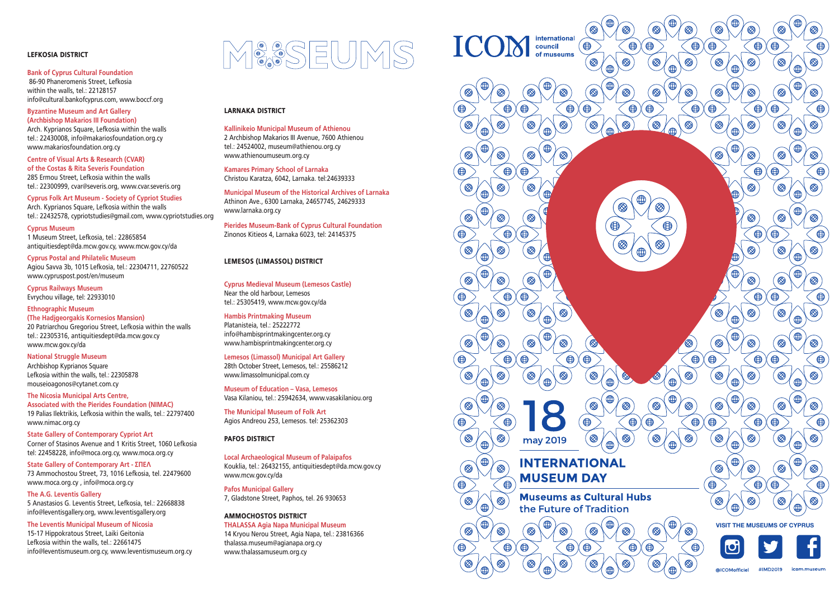## LEFKOSIA DISTRICT

#### **Bank of Cyprus Cultural Foundation** 86-90 Phaneromenis Street, Lefkosia within the walls, tel.: 22128157 info@cultural.bankofcyprus.com, www.boccf.org

## **Byzantine Museum and Art Gallery**

**(Archbishop Makarios III Foundation)** Arch. Kyprianos Square, Lefkosia within the walls tel.: 22430008, info@makariosfoundation.org.cy www.makariosfoundation.org.cy

**Centre of Visual Arts & Research (CVAR) of the Costas & Rita Severis Foundation** 285 Ermou Street, Lefkosia within the walls tel.: 22300999, cvar@severis.org, www.cvar.severis.org

**Cyprus Folk Art Museum - Society of Cypriot Studies** Arch. Kyprianos Square, Lefkosia within the walls tel.: 22432578, cypriotstudies@gmail.com, www.cypriotstudies.org

**Cyprus Museum** 1 Museum Street, Lefkosia, tel.: 22865854 antiquitiesdept@da.mcw.gov.cy, www.mcw.gov.cy/da

## **Cyprus Postal and Philatelic Museum**

Agiou Savva 3b, 1015 Lefkosia, tel.: 22304711, 22760522 www.cypruspost.post/en/museum

**Cyprus Railways Museum** Evrychou village, tel: 22933010

## **Ethnographic Museum (The Hadjgeorgakis Kornesios Mansion)** 20 Patriarchou Gregoriou Street, Lefkosia within the walls

tel.: 22305316, antiquitiesdept@da.mcw.gov.cy www.mcw.gov.cy/da

## **National Struggle Museum**

Archbishop Kyprianos Square Lefkosia within the walls, tel.: 22305878 mouseioagonos@cytanet.com.cy

#### **The Nicosia Municipal Arts Centre,**

**Associated with the Pierides Foundation (NIMAC)**  19 Palias Ilektrikis, Lefkosia within the walls, tel.: 22797400 www.nimac.org.cy

**State Gallery of Contemporary Cypriot Art** Corner of Stasinos Avenue and 1 Kritis Street, 1060 Lefkosia tel: 22458228, info@moca.org.cy, www.moca.org.cy

#### **State Gallery of Contemporary Art - ΣΠΕΛ**

73 Ammochostou Street, 73, 1016 Lefkosia, tel. 22479600 www.moca.org.cy , info@moca.org.cy

#### **The A.G. Leventis Gallery**

5 Anastasios G. Leventis Street, Lefkosia, tel.: 22668838 info@leventisgallery.org, www.leventisgallery.org

#### **The Leventis Municipal Museum of Nicosia**

15-17 Hippokratous Street, Laiki Geitonia Lefkosia within the walls, tel.: 22661475 info@leventismuseum.org.cy, www.leventismuseum.org.cy



## LARNAKA DISTRICT

**Kallinikeio Municipal Museum of Athienou** 2 Archbishop Makarios III Avenue, 7600 Athienou tel.: 24524002, museum@athienou.org.cy www.athienoumuseum.org.cy

**Kamares Primary School of Larnaka** Christou Karatza, 6042, Larnaka. tel:24639333

**Municipal Museum of the Historical Archives of Larnaka** Athinon Ave., 6300 Larnaka, 24657745, 24629333 www.larnaka.org.cy

**Pierides Museum-Bank of Cyprus Cultural Foundation** Zinonos Kitieos 4, Larnaka 6023, tel: 24145375

## LEMESOS (LIMASSOL) DISTRICT

**Cyprus Medieval Museum (Lemesos Castle)** Near the old harbour, Lemesos tel.: 25305419, www.mcw.gov.cy/da

## **Hambis Printmaking Museum**

Platanisteia, tel.: 25222772 info@hambisprintmakingcenter.org.cy www.hambisprintmakingcenter.org.cy

## **Lemesos (Limassol) Municipal Art Gallery**

28th October Street, Lemesos, tel.: 25586212 www.limassolmunicipal.com.cy

**Museum of Education – Vasa, Lemesos** Vasa Kilaniou, tel.: 25942634, www.vasakilaniou.org

**The Municipal Museum of Folk Art** Agios Andreou 253, Lemesos. tel: 25362303

## PAFOS DISTRICT

## **Local Archaeological Museum of Palaipafos**

Kouklia, tel.: 26432155, antiquitiesdept@da.mcw.gov.cy www.mcw.gov.cy/da

**Pafos Municipal Gallery**

7, Gladstone Street, Paphos, tel. 26 930653

## AMMOCHOSTOS DISTRICT

**THALASSA Agia Napa Municipal Museum** 14 Kryou Nerou Street, Agia Napa, tel.: 23816366 thalassa.museum@agianapa.org.cy www.thalassamuseum.org.cy

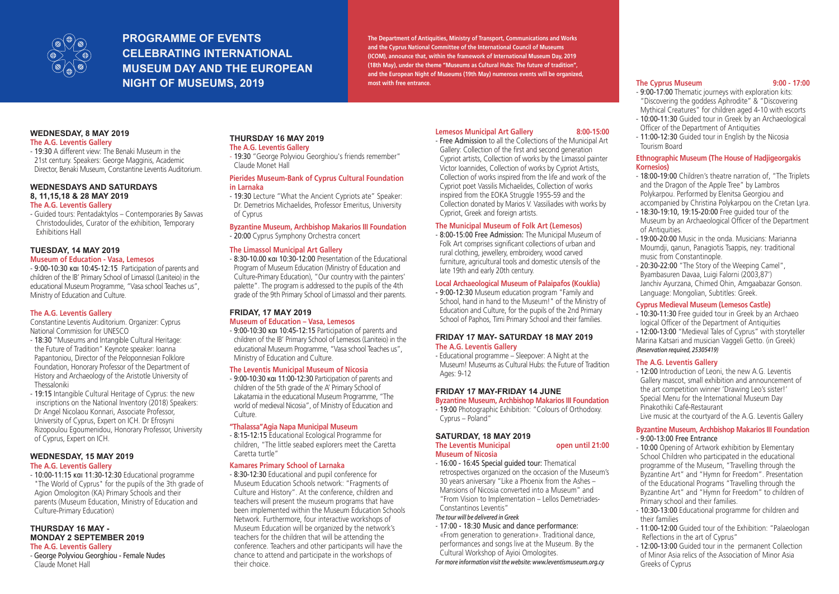

# **PROGRAMME OF EVENTS CELEBRATING INTERNATIONAL MUSEUM DAY AND THE EUROPEAN NIGHT OF MUSEUMS, 2019**

**The Department of Antiquities, Ministry of Transport, Communications and Works and the Cyprus National Committee of the International Council of Museums (ICOM), announce that, within the framework of International Museum Day, 2019 (18th May), under the theme "Museums as Cultural Hubs: The future of tradition", and the European Night of Museums (19th May) numerous events will be organized, most with free entrance.** 

## **WEDNESDAY, 8 MAY 2019**

## **The A.G. Leventis Gallery**

- 19:30 A different view: The Benaki Museum in the 21st century. Speakers: George Magginis, Academic Director, Benaki Museum, Constantine Leventis Auditorium.

#### **WEDNESDAYS AND SATURDAYS 8, 11,15,18 & 28 MAY 2019 The A.G. Leventis Gallery**

- Guided tours: Pentadaktylos – Contemporaries By Savvas Christodoulides, Curator of the exhibition, Temporary Exhibitions Hall

# **TUESDAY, 14 MAY 2019**

## **Museum of Education - Vasa, Lemesos**

- 9:00-10:30 και 10:45-12:15 Participation of parents and children of the IB' Primary School of Limassol (Laniteio) in the educational Museum Programme, "Vasa school Teaches us", Ministry of Education and Culture.

## **The A.G. Leventis Gallery**

Constantine Leventis Auditorium. Organizer: Cyprus National Commission for UNESCO

- 18:30 "Museums and Intangible Cultural Heritage: the Future of Tradition" Keynote speaker: Ioanna Papantoniou, Director of the Peloponnesian Folklore Foundation, Honorary Professor of the Department of History and Archaeology of the Aristotle University of Thessaloniki
- 19:15 Intangible Cultural Heritage of Cyprus: the new inscriptions on the National Inventory (2018) Speakers: Dr Angel Nicolaou Konnari, Associate Professor, University of Cyprus, Expert on ICH. Dr Efrosyni Rizopoulou Egoumenidou, Honorary Professor, University of Cyprus, Expert on ICH.

## **WEDNESDAY, 15 MAY 2019**

## **The A.G. Leventis Gallery**

- 10:00-11:15 και 11:30-12:30 Educational programme "The World of Cyprus" for the pupils of the 3th grade of Agion Omologiton (KA) Primary Schools and their parents (Museum Education, Ministry of Education and Culture-Primary Education)

#### **THURSDAY 16 MAY - MONDAY 2 SEPTEMBER 2019 The A.G. Leventis Gallery**

- George Polyviou Georghiou - Female Nudes Claude Monet Hall

## **THURSDAY 16 MAY 2019 The A.G. Leventis Gallery**

## - 19:30 "George Polyviou Georghiou's friends remember" Claude Monet Hall

## **Pierides Museum-Bank of Cyprus Cultural Foundation in Larnaka**

- 19:30 Lecture "What the Ancient Cypriots ate" Speaker: Dr. Demetrios Michaelides, Professor Emeritus, University of Cyprus

## **Byzantine Museum, Archbishop Makarios III Foundation**

- 20:00 Cyprus Symphony Orchestra concert

## **The Limassol Municipal Art Gallery**

- 8:30-10.00 και 10:30-12:00 Presentation of the Educational Program of Museum Education (Ministry of Education and Culture-Primary Education), "Our country with the painters' palette". The program is addressed to the pupils of the 4th grade of the 9th Primary School of Limassol and their parents.

## **FRIDAY, 17 ΜΑY 2019**

## **Museum of Education – Vasa, Lemesos**

- 9:00-10:30 και 10:45-12:15 Participation of parents and children of the IB' Primary School of Lemesos (Laniteio) in the educational Museum Programme, "Vasa school Teaches us", Ministry of Education and Culture.

## **The Leventis Municipal Museum of Nicosia**

- 9:00-10:30 και 11:00-12:30 Participation of parents and children of the 5th grade of the A' Primary School of Lakatamia in the educational Museum Programme, "The world of medieval Nicosia", of Ministry of Education and Culture.

## **"Thalassa"Agia Napa Municipal Museum**

- 8:15-12:15 Educational Ecological Programme for children, "The little seabed explorers meet the Caretta Caretta turtle"

## **Kamares Primary School of Larnaka**

- 8:30-12:30 Educational and pupil conference for Museum Education Schools network: "Fragments of Culture and History". At the conference, children and teachers will present the museum programs that have been implemented within the Museum Education Schools Network. Furthermore, four interactive workshops of Museum Education will be organized by the network's teachers for the children that will be attending the conference. Teachers and other participants will have the chance to attend and participate in the workshops of their choice.

## **Lemesos Municipal Art Gallery 8:00-15:00**

- Free Admission to all the Collections of the Municipal Art Gallery: Collection of the first and second generation Cypriot artists, Collection of works by the Limassol painter Victor Ioannides, Collection of works by Cypriot Artists, Collection of works inspired from the life and work of the Cypriot poet Vassilis Michaelides, Collection of works inspired from the EOKA Struggle 1955-59 and the Collection donated by Marios V. Vassiliades with works by Cypriot, Greek and foreign artists.

## **The Municipal Museum of Folk Art (Lemesos)**

- 8:00-15:00 Free Admission: The Municipal Museum of Folk Art comprises significant collections of urban and rural clothing, jewellery, embroidery, wood carved furniture, agricultural tools and domestic utensils of the late 19th and early 20th century.

## **Local Archaeological Museum of Palaipafos (Kouklia)**

- 9:00-12:30 Museum education program "Family and School, hand in hand to the Museum!" of the Ministry of Education and Culture, for the pupils of the 2nd Primary School of Paphos, Timi Primary School and their families.

## **FRIDAY 17 MAY- SATURDAY 18 MAY 2019 The A.G. Leventis Gallery**

- Educational programme – Sleepover: A Night at the Museum! Museums as Cultural Hubs: the Future of Tradition Ages: 9-12

## **FRIDAY 17 MAY-FRIDAY 14 JUNE**

## **Byzantine Museum, Archbishop Makarios III Foundation**

Cyprus – Poland"

**Museum of Nicosia** 

- 16:00 - 16:45 Special guided tour: Thematical retrospectives organized on the occasion of the Museum's 30 years aniversary "Like a Phoenix from the Αshes – Mansions of Nicosia converted into a Museum" and "From Vision to Implementation – Lellos Demetriades- Constantinos Leventis"

## *The tour will be delivered in Greek*

- 17:00 - 18:30 Music and dance performance: «From generation to generation». Traditional dance, performances and songs live at the Museum. By the Cultural Workshop of Ayioi Omologites.

## *For more information visit the website: www.leventismuseum.org.cy*

## **The Cyprus Museum 9:00 - 17:00**

## - 9:00-17:00 Thematic journeys with exploration kits: "Discovering the goddess Aphrodite" & "Discovering

- Mythical Creatures" for children aged 4-10 with escorts - 10:00-11:30 Guided tour in Greek by an Archaeological
- Officer of the Department of Antiquities - 11:00-12:30 Guided tour in English by the Nicosia Tourism Board

## **Ethnographic Museum (The House of Hadjigeorgakis Kornesios)**

- 18:00-19:00 Children's theatre narration of, "The Triplets and the Dragon of the Apple Tree" by Lambros Polykarpou. Performed by Elenitsa Georgiou and accompanied by Christina Polykarpou on the Cretan Lyra.
- 18:30-19:10, 19:15-20:00 Free guided tour of the Museum by an Archaeological Officer of the Department of Antiquities.
- 19:00-20:00 Music in the onda. Musicians: Marianna Moumdji, qanun, Panagiotis Tsappis, ney: traditional music from Constantinople.
- 20:30-22:00 "The Story of the Weeping Camel", Byambasuren Davaa, Luigi Falorni (2003,87') Janchiv Ayurzana, Chimed Ohin, Amgaabazar Gonson. Language: Mongolian, Subtitles: Greek.

## **Cyprus Medieval Museum (Lemesos Castle)**

- 10:30-11:30 Free guided tour in Greek by an Archaeo logical Officer of the Department of Antiquities
- 12:00-13:00 "Medieval Tales of Cyprus" with storyteller Marina Katsari and musician Vaggeli Getto. (in Greek) *(Reservation required, 25305419)*

## **The A.G. Leventis Gallery**

- 12:00 Introduction of Leoni, the new A.G. Leventis Gallery mascot, small exhibition and announcement of the art competition winner 'Drawing Leo's sister!' Special Menu for the International Museum Day Pinakothiki Café-Restaurant

## Live music at the courtyard of the A.G. Leventis Gallery

#### **Byzantine Museum, Archbishop Makarios III Foundation** - 9:00-13:00 Free Entrance

- 10:00 Opening of Artwork exhibition by Elementary School Children who participated in the educational programme of the Museum, "Travelling through the Byzantine Art" and "Hymn for Freedom". Presentation of the Educational Programs "Travelling through the Byzantine Art" and "Hymn for Freedom" to children of Primary school and their families.
- 10:30-13:00 Educational programme for children and their families
- 11:00-12:00 Guided tour of the Exhibition: "Palaeologan Reflections in the art of Cyprus"
- 12:00-13:00 Guided tour in the permanent Collection of Minor Asia relics of the Association of Minor Asia Greeks of Cyprus

- 19:00 Photographic Exhibition: "Colours of Orthodoxy.

## **SATURDAY, 18 MAY 2019 The Leventis Municipal open until 21:00**